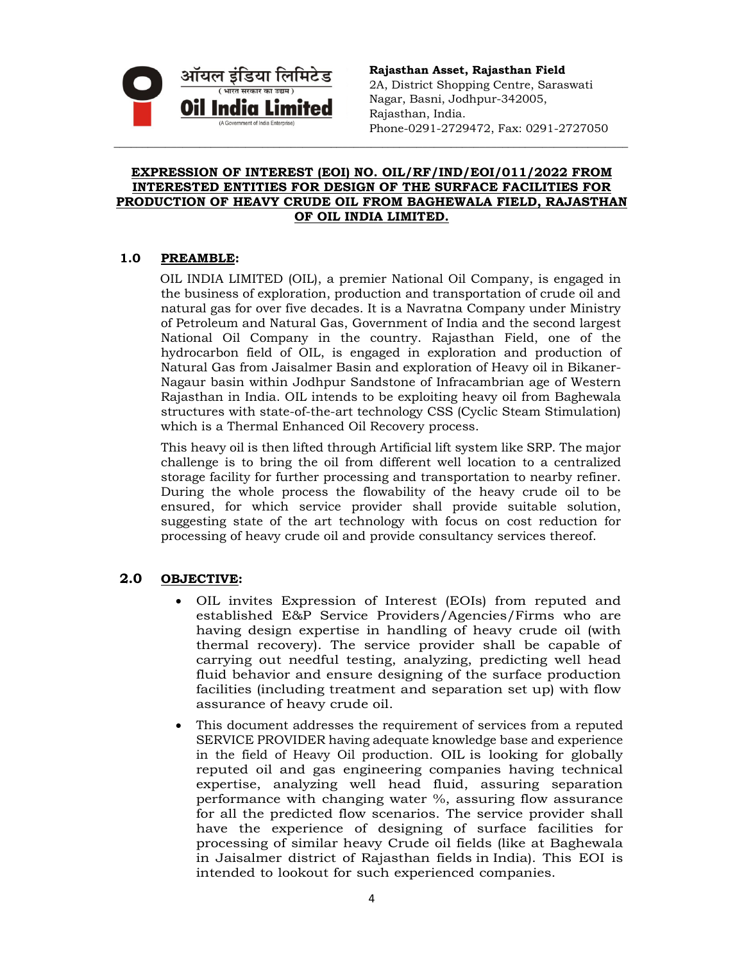

**Rajasthan Asset, Rajasthan Field**  2A, District Shopping Centre, Saraswati Nagar, Basni, Jodhpur-342005, Rajasthan, India. Phone-0291-2729472, Fax: 0291-2727050

### **EXPRESSION OF INTEREST (EOI) NO. OIL/RF/IND/EOI/011/2022 FROM INTERESTED ENTITIES FOR DESIGN OF THE SURFACE FACILITIES FOR PRODUCTION OF HEAVY CRUDE OIL FROM BAGHEWALA FIELD, RAJASTHAN OF OIL INDIA LIMITED.**

\_\_\_\_\_\_\_\_\_\_\_\_\_\_\_\_\_\_\_\_\_\_\_\_\_\_\_\_\_\_\_\_\_\_\_\_\_\_\_\_\_\_\_\_\_\_\_\_\_\_\_\_\_\_\_\_\_\_\_\_\_\_\_\_\_\_\_\_\_\_\_\_\_\_\_\_\_\_\_\_\_\_\_\_\_\_\_\_\_\_

### **1.0 PREAMBLE:**

OIL INDIA LIMITED (OIL), a premier National Oil Company, is engaged in the business of exploration, production and transportation of crude oil and natural gas for over five decades. It is a Navratna Company under Ministry of Petroleum and Natural Gas, Government of India and the second largest National Oil Company in the country. Rajasthan Field, one of the hydrocarbon field of OIL, is engaged in exploration and production of Natural Gas from Jaisalmer Basin and exploration of Heavy oil in Bikaner-Nagaur basin within Jodhpur Sandstone of Infracambrian age of Western Rajasthan in India. OIL intends to be exploiting heavy oil from Baghewala structures with state-of-the-art technology CSS (Cyclic Steam Stimulation) which is a Thermal Enhanced Oil Recovery process.

This heavy oil is then lifted through Artificial lift system like SRP. The major challenge is to bring the oil from different well location to a centralized storage facility for further processing and transportation to nearby refiner. During the whole process the flowability of the heavy crude oil to be ensured, for which service provider shall provide suitable solution, suggesting state of the art technology with focus on cost reduction for processing of heavy crude oil and provide consultancy services thereof.

# **2.0 OBJECTIVE:**

- OIL invites Expression of Interest (EOIs) from reputed and established E&P Service Providers/Agencies/Firms who are having design expertise in handling of heavy crude oil (with thermal recovery). The service provider shall be capable of carrying out needful testing, analyzing, predicting well head fluid behavior and ensure designing of the surface production facilities (including treatment and separation set up) with flow assurance of heavy crude oil.
- This document addresses the requirement of services from a reputed SERVICE PROVIDER having adequate knowledge base and experience in the field of Heavy Oil production. OIL is looking for globally reputed oil and gas engineering companies having technical expertise, analyzing well head fluid, assuring separation performance with changing water %, assuring flow assurance for all the predicted flow scenarios. The service provider shall have the experience of designing of surface facilities for processing of similar heavy Crude oil fields (like at Baghewala in Jaisalmer district of Rajasthan fields in India). This EOI is intended to lookout for such experienced companies.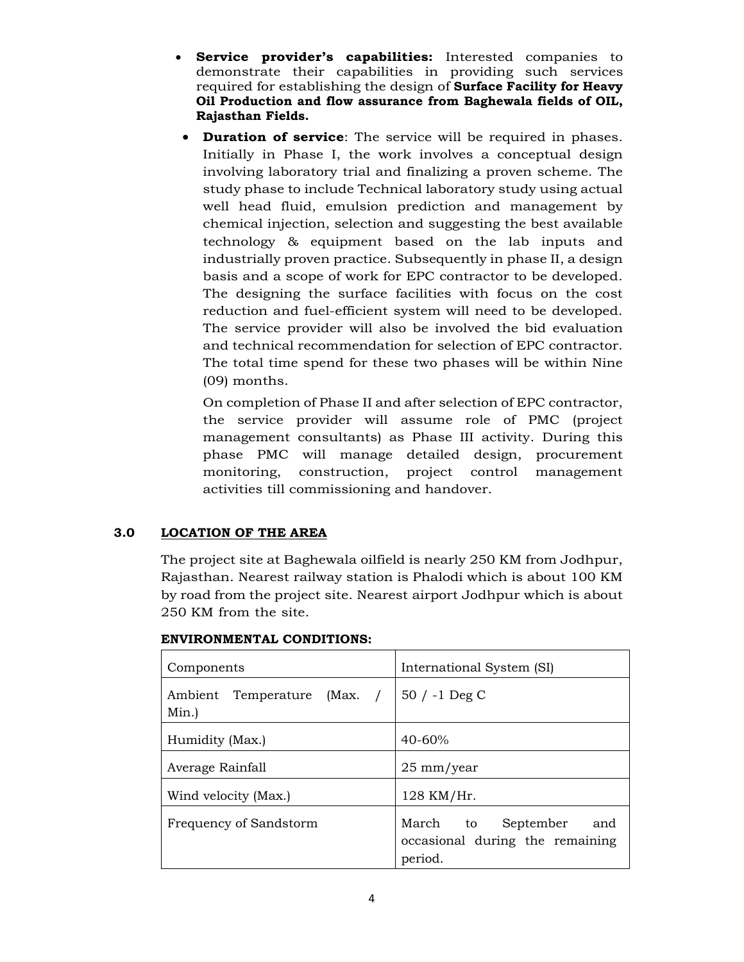- **Service provider's capabilities:** Interested companies to demonstrate their capabilities in providing such services required for establishing the design of **Surface Facility for Heavy Oil Production and flow assurance from Baghewala fields of OIL, Rajasthan Fields.**
- **Duration of service**: The service will be required in phases. Initially in Phase I, the work involves a conceptual design involving laboratory trial and finalizing a proven scheme. The study phase to include Technical laboratory study using actual well head fluid, emulsion prediction and management by chemical injection, selection and suggesting the best available technology & equipment based on the lab inputs and industrially proven practice. Subsequently in phase II, a design basis and a scope of work for EPC contractor to be developed. The designing the surface facilities with focus on the cost reduction and fuel-efficient system will need to be developed. The service provider will also be involved the bid evaluation and technical recommendation for selection of EPC contractor. The total time spend for these two phases will be within Nine (09) months.

On completion of Phase II and after selection of EPC contractor, the service provider will assume role of PMC (project management consultants) as Phase III activity. During this phase PMC will manage detailed design, procurement monitoring, construction, project control management activities till commissioning and handover.

# **3.0 LOCATION OF THE AREA**

The project site at Baghewala oilfield is nearly 250 KM from Jodhpur, Rajasthan. Nearest railway station is Phalodi which is about 100 KM by road from the project site. Nearest airport Jodhpur which is about 250 KM from the site.

| Components                             | International System (SI)                                                  |  |
|----------------------------------------|----------------------------------------------------------------------------|--|
| Ambient Temperature (Max. /  <br>Min.) | $50 / -1$ Deg C                                                            |  |
| Humidity (Max.)                        | $40 - 60%$                                                                 |  |
| Average Rainfall                       | $25 \text{ mm/year}$                                                       |  |
| Wind velocity (Max.)                   | 128 KM/Hr.                                                                 |  |
| Frequency of Sandstorm                 | March to<br>September<br>and<br>occasional during the remaining<br>period. |  |

#### **ENVIRONMENTAL CONDITIONS:**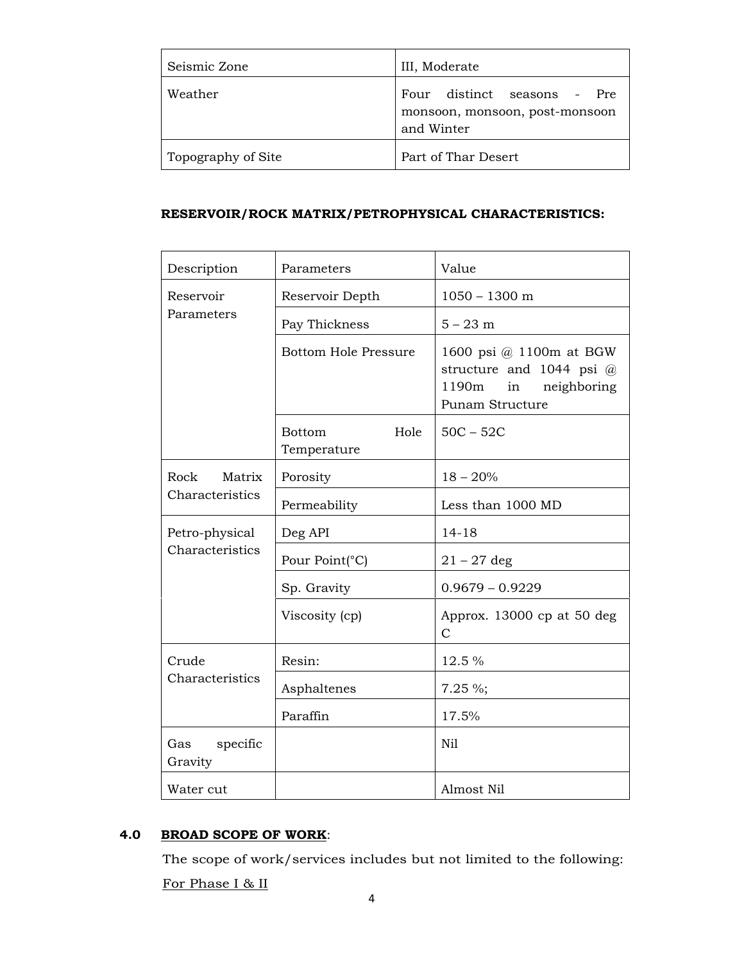| Seismic Zone       | III, Moderate                                                               |
|--------------------|-----------------------------------------------------------------------------|
| Weather            | Four distinct seasons - Pre<br>monsoon, monsoon, post-monsoon<br>and Winter |
| Topography of Site | Part of Thar Desert                                                         |

#### **RESERVOIR/ROCK MATRIX/PETROPHYSICAL CHARACTERISTICS:**

| Description                       | Parameters                    | Value                                                                                                       |
|-----------------------------------|-------------------------------|-------------------------------------------------------------------------------------------------------------|
| Reservoir<br>Parameters           | Reservoir Depth               | $1050 - 1300$ m                                                                                             |
|                                   | Pay Thickness                 | $5 - 23$ m                                                                                                  |
|                                   | <b>Bottom Hole Pressure</b>   | 1600 psi @ 1100m at BGW<br>structure and 1044 psi $\omega$<br>1190m<br>neighboring<br>in<br>Punam Structure |
|                                   | Hole<br>Bottom<br>Temperature | $50C - 52C$                                                                                                 |
| Rock Matrix<br>Characteristics    | Porosity                      | $18 - 20%$                                                                                                  |
|                                   | Permeability                  | Less than 1000 MD                                                                                           |
| Petro-physical<br>Characteristics | Deg API                       | $14 - 18$                                                                                                   |
|                                   | Pour Point(°C)                | $21 - 27$ deg                                                                                               |
|                                   | Sp. Gravity                   | $0.9679 - 0.9229$                                                                                           |
|                                   | Viscosity (cp)                | Approx. 13000 cp at 50 deg<br>$\mathcal{C}$                                                                 |
| Crude<br>Characteristics          | Resin:                        | 12.5 %                                                                                                      |
|                                   | Asphaltenes                   | $7.25 \%$ ;                                                                                                 |
|                                   | Paraffin                      | 17.5%                                                                                                       |
| specific<br>Gas<br>Gravity        |                               | Nil                                                                                                         |
| Water cut                         |                               | Almost Nil                                                                                                  |

# **4.0 BROAD SCOPE OF WORK**:

The scope of work/services includes but not limited to the following:

For Phase I & II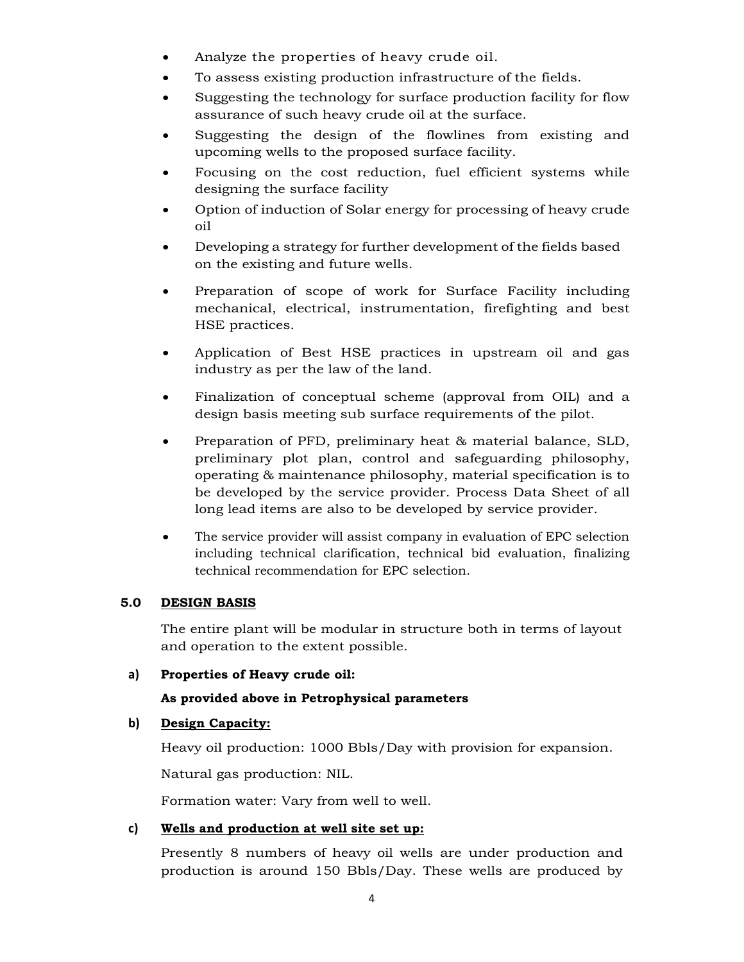- Analyze the properties of heavy crude oil.
- To assess existing production infrastructure of the fields.
- Suggesting the technology for surface production facility for flow assurance of such heavy crude oil at the surface.
- Suggesting the design of the flowlines from existing and upcoming wells to the proposed surface facility.
- Focusing on the cost reduction, fuel efficient systems while designing the surface facility
- Option of induction of Solar energy for processing of heavy crude oil
- Developing a strategy for further development of the fields based on the existing and future wells.
- Preparation of scope of work for Surface Facility including mechanical, electrical, instrumentation, firefighting and best HSE practices.
- Application of Best HSE practices in upstream oil and gas industry as per the law of the land.
- Finalization of conceptual scheme (approval from OIL) and a design basis meeting sub surface requirements of the pilot.
- Preparation of PFD, preliminary heat & material balance, SLD, preliminary plot plan, control and safeguarding philosophy, operating & maintenance philosophy, material specification is to be developed by the service provider. Process Data Sheet of all long lead items are also to be developed by service provider.
- The service provider will assist company in evaluation of EPC selection including technical clarification, technical bid evaluation, finalizing technical recommendation for EPC selection.

# **5.0 DESIGN BASIS**

The entire plant will be modular in structure both in terms of layout and operation to the extent possible.

### **a) Properties of Heavy crude oil:**

# **As provided above in Petrophysical parameters**

#### **b) Design Capacity:**

Heavy oil production: 1000 Bbls/Day with provision for expansion.

Natural gas production: NIL.

Formation water: Vary from well to well.

# **c) Wells and production at well site set up:**

Presently 8 numbers of heavy oil wells are under production and production is around 150 Bbls/Day. These wells are produced by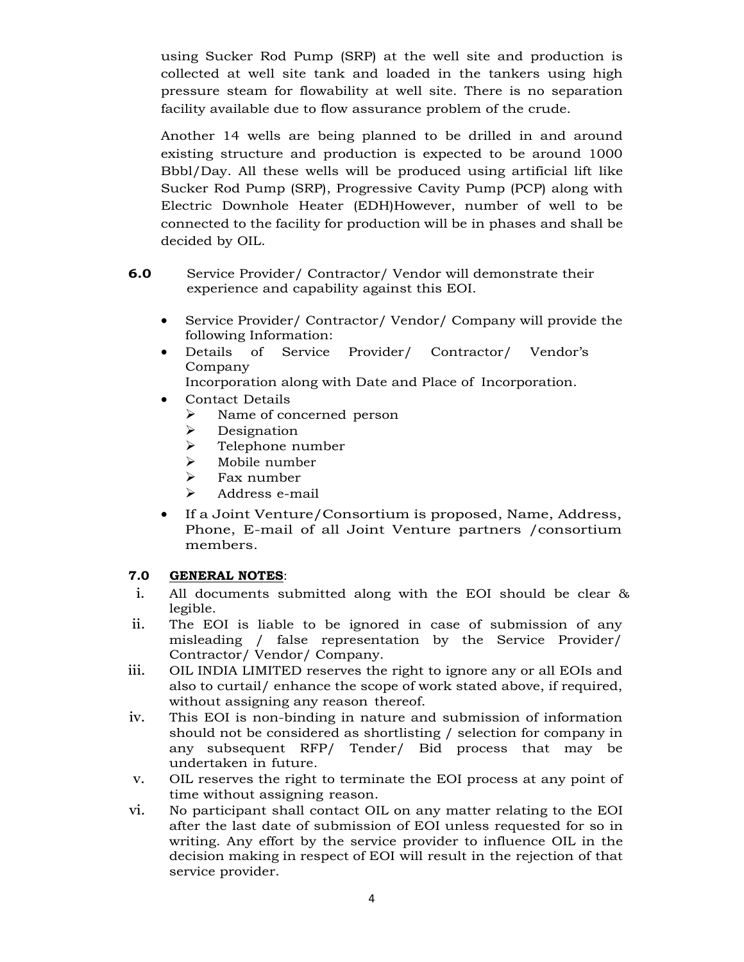using Sucker Rod Pump (SRP) at the well site and production is collected at well site tank and loaded in the tankers using high pressure steam for flowability at well site. There is no separation facility available due to flow assurance problem of the crude.

Another 14 wells are being planned to be drilled in and around existing structure and production is expected to be around 1000 Bbbl/Day. All these wells will be produced using artificial lift like Sucker Rod Pump (SRP), Progressive Cavity Pump (PCP) along with Electric Downhole Heater (EDH)However, number of well to be connected to the facility for production will be in phases and shall be decided by OIL.

- **6.0** Service Provider/ Contractor/ Vendor will demonstrate their experience and capability against this EOI.
	- Service Provider/ Contractor/ Vendor/ Company will provide the following Information:
	- Details of Service Provider/ Contractor/ Vendor's Company

Incorporation along with Date and Place of Incorporation.

- Contact Details
	- $\triangleright$  Name of concerned person
	- $\triangleright$  Designation
	- $\triangleright$  Telephone number
	- $\triangleright$  Mobile number
	- $\triangleright$  Fax number
	- $\blacktriangleright$  Address e-mail
- If a Joint Venture/Consortium is proposed, Name, Address, Phone, E-mail of all Joint Venture partners /consortium members.

#### **7.0 GENERAL NOTES**:

- i. All documents submitted along with the EOI should be clear & legible.
- ii. The EOI is liable to be ignored in case of submission of any misleading / false representation by the Service Provider/ Contractor/ Vendor/ Company.
- iii. OIL INDIA LIMITED reserves the right to ignore any or all EOIs and also to curtail/ enhance the scope of work stated above, if required, without assigning any reason thereof.
- iv. This EOI is non-binding in nature and submission of information should not be considered as shortlisting / selection for company in any subsequent RFP/ Tender/ Bid process that may be undertaken in future.
- v. OIL reserves the right to terminate the EOI process at any point of time without assigning reason.
- vi. No participant shall contact OIL on any matter relating to the EOI after the last date of submission of EOI unless requested for so in writing. Any effort by the service provider to influence OIL in the decision making in respect of EOI will result in the rejection of that service provider.